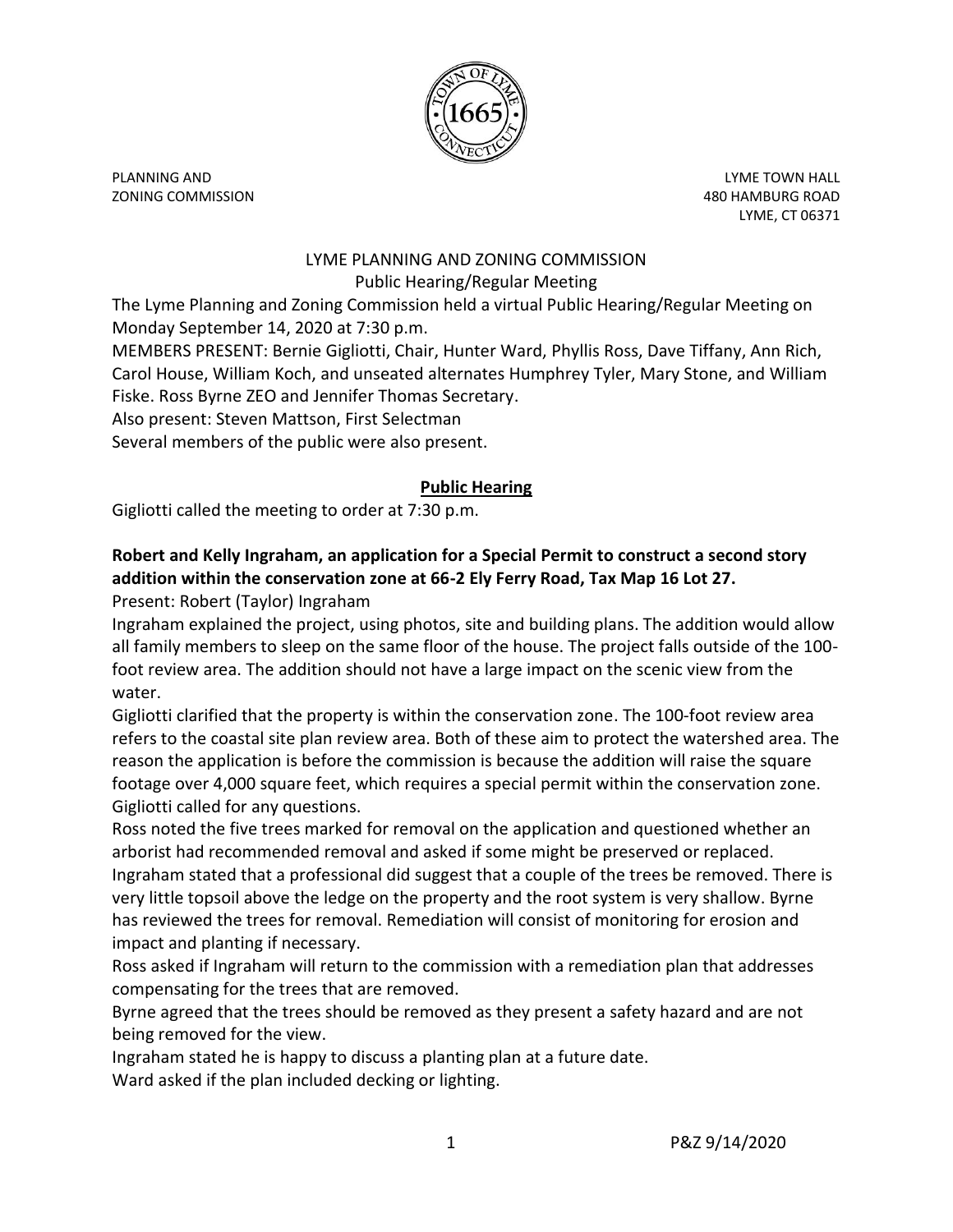

ZONING COMMISSION 480 HAMBURG ROAD

PLANNING AND **PLANNING AND** LYME, CT 06371

#### LYME PLANNING AND ZONING COMMISSION Public Hearing/Regular Meeting

The Lyme Planning and Zoning Commission held a virtual Public Hearing/Regular Meeting on Monday September 14, 2020 at 7:30 p.m.

MEMBERS PRESENT: Bernie Gigliotti, Chair, Hunter Ward, Phyllis Ross, Dave Tiffany, Ann Rich, Carol House, William Koch, and unseated alternates Humphrey Tyler, Mary Stone, and William Fiske. Ross Byrne ZEO and Jennifer Thomas Secretary.

Also present: Steven Mattson, First Selectman

Several members of the public were also present.

# **Public Hearing**

Gigliotti called the meeting to order at 7:30 p.m.

# **Robert and Kelly Ingraham, an application for a Special Permit to construct a second story addition within the conservation zone at 66-2 Ely Ferry Road, Tax Map 16 Lot 27.**

Present: Robert (Taylor) Ingraham

Ingraham explained the project, using photos, site and building plans. The addition would allow all family members to sleep on the same floor of the house. The project falls outside of the 100 foot review area. The addition should not have a large impact on the scenic view from the water.

Gigliotti clarified that the property is within the conservation zone. The 100-foot review area refers to the coastal site plan review area. Both of these aim to protect the watershed area. The reason the application is before the commission is because the addition will raise the square footage over 4,000 square feet, which requires a special permit within the conservation zone. Gigliotti called for any questions.

Ross noted the five trees marked for removal on the application and questioned whether an arborist had recommended removal and asked if some might be preserved or replaced. Ingraham stated that a professional did suggest that a couple of the trees be removed. There is very little topsoil above the ledge on the property and the root system is very shallow. Byrne has reviewed the trees for removal. Remediation will consist of monitoring for erosion and impact and planting if necessary.

Ross asked if Ingraham will return to the commission with a remediation plan that addresses compensating for the trees that are removed.

Byrne agreed that the trees should be removed as they present a safety hazard and are not being removed for the view.

Ingraham stated he is happy to discuss a planting plan at a future date.

Ward asked if the plan included decking or lighting.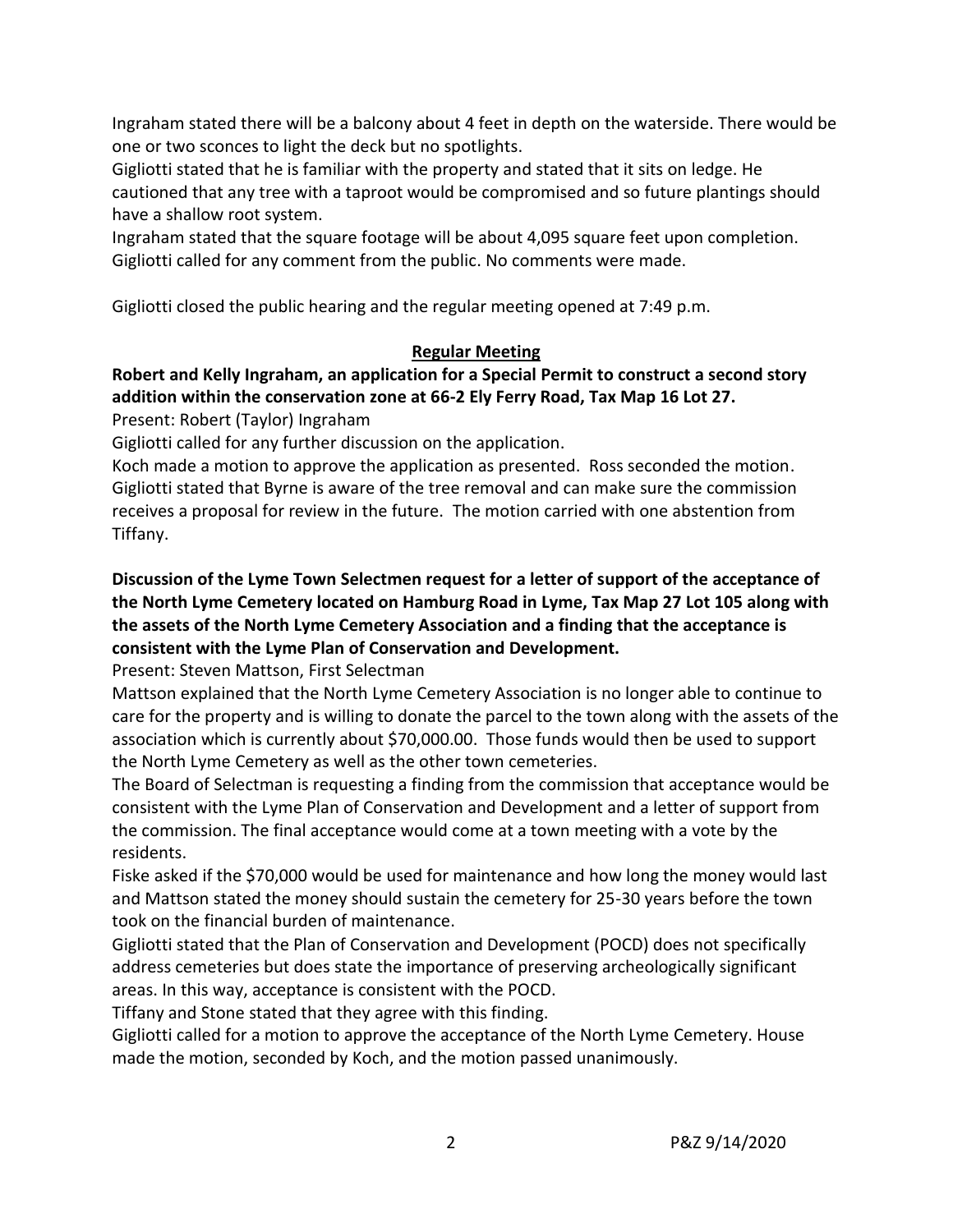Ingraham stated there will be a balcony about 4 feet in depth on the waterside. There would be one or two sconces to light the deck but no spotlights.

Gigliotti stated that he is familiar with the property and stated that it sits on ledge. He cautioned that any tree with a taproot would be compromised and so future plantings should have a shallow root system.

Ingraham stated that the square footage will be about 4,095 square feet upon completion. Gigliotti called for any comment from the public. No comments were made.

Gigliotti closed the public hearing and the regular meeting opened at 7:49 p.m.

### **Regular Meeting**

# **Robert and Kelly Ingraham, an application for a Special Permit to construct a second story addition within the conservation zone at 66-2 Ely Ferry Road, Tax Map 16 Lot 27.**

Present: Robert (Taylor) Ingraham

Gigliotti called for any further discussion on the application.

Koch made a motion to approve the application as presented. Ross seconded the motion. Gigliotti stated that Byrne is aware of the tree removal and can make sure the commission receives a proposal for review in the future. The motion carried with one abstention from Tiffany.

# **Discussion of the Lyme Town Selectmen request for a letter of support of the acceptance of the North Lyme Cemetery located on Hamburg Road in Lyme, Tax Map 27 Lot 105 along with the assets of the North Lyme Cemetery Association and a finding that the acceptance is consistent with the Lyme Plan of Conservation and Development.**

Present: Steven Mattson, First Selectman

Mattson explained that the North Lyme Cemetery Association is no longer able to continue to care for the property and is willing to donate the parcel to the town along with the assets of the association which is currently about \$70,000.00. Those funds would then be used to support the North Lyme Cemetery as well as the other town cemeteries.

The Board of Selectman is requesting a finding from the commission that acceptance would be consistent with the Lyme Plan of Conservation and Development and a letter of support from the commission. The final acceptance would come at a town meeting with a vote by the residents.

Fiske asked if the \$70,000 would be used for maintenance and how long the money would last and Mattson stated the money should sustain the cemetery for 25-30 years before the town took on the financial burden of maintenance.

Gigliotti stated that the Plan of Conservation and Development (POCD) does not specifically address cemeteries but does state the importance of preserving archeologically significant areas. In this way, acceptance is consistent with the POCD.

Tiffany and Stone stated that they agree with this finding.

Gigliotti called for a motion to approve the acceptance of the North Lyme Cemetery. House made the motion, seconded by Koch, and the motion passed unanimously.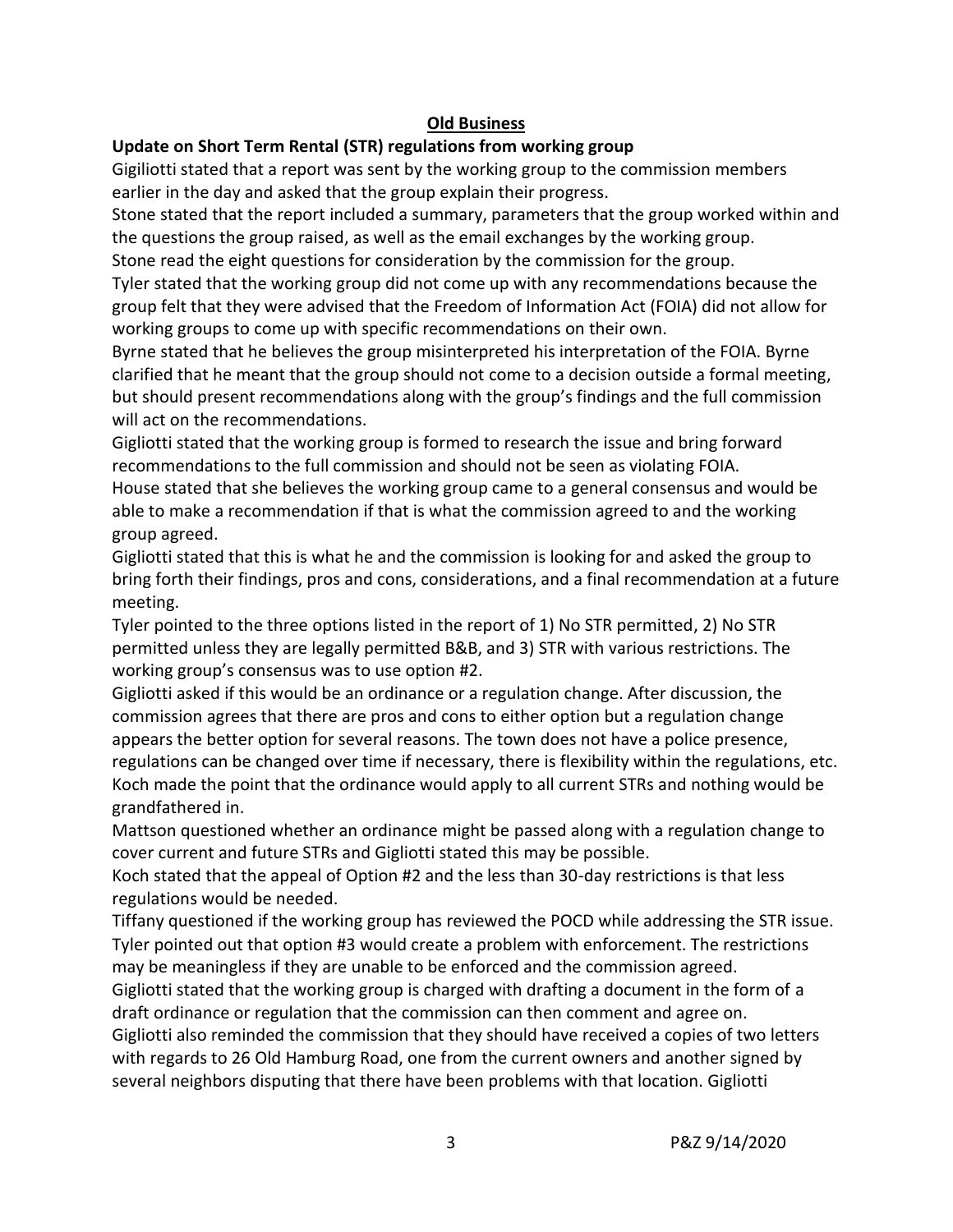#### **Old Business**

#### **Update on Short Term Rental (STR) regulations from working group**

Gigiliotti stated that a report was sent by the working group to the commission members earlier in the day and asked that the group explain their progress.

Stone stated that the report included a summary, parameters that the group worked within and the questions the group raised, as well as the email exchanges by the working group.

Stone read the eight questions for consideration by the commission for the group.

Tyler stated that the working group did not come up with any recommendations because the group felt that they were advised that the Freedom of Information Act (FOIA) did not allow for working groups to come up with specific recommendations on their own.

Byrne stated that he believes the group misinterpreted his interpretation of the FOIA. Byrne clarified that he meant that the group should not come to a decision outside a formal meeting, but should present recommendations along with the group's findings and the full commission will act on the recommendations.

Gigliotti stated that the working group is formed to research the issue and bring forward recommendations to the full commission and should not be seen as violating FOIA.

House stated that she believes the working group came to a general consensus and would be able to make a recommendation if that is what the commission agreed to and the working group agreed.

Gigliotti stated that this is what he and the commission is looking for and asked the group to bring forth their findings, pros and cons, considerations, and a final recommendation at a future meeting.

Tyler pointed to the three options listed in the report of 1) No STR permitted, 2) No STR permitted unless they are legally permitted B&B, and 3) STR with various restrictions. The working group's consensus was to use option #2.

Gigliotti asked if this would be an ordinance or a regulation change. After discussion, the commission agrees that there are pros and cons to either option but a regulation change appears the better option for several reasons. The town does not have a police presence, regulations can be changed over time if necessary, there is flexibility within the regulations, etc. Koch made the point that the ordinance would apply to all current STRs and nothing would be grandfathered in.

Mattson questioned whether an ordinance might be passed along with a regulation change to cover current and future STRs and Gigliotti stated this may be possible.

Koch stated that the appeal of Option #2 and the less than 30-day restrictions is that less regulations would be needed.

Tiffany questioned if the working group has reviewed the POCD while addressing the STR issue. Tyler pointed out that option #3 would create a problem with enforcement. The restrictions may be meaningless if they are unable to be enforced and the commission agreed.

Gigliotti stated that the working group is charged with drafting a document in the form of a draft ordinance or regulation that the commission can then comment and agree on.

Gigliotti also reminded the commission that they should have received a copies of two letters with regards to 26 Old Hamburg Road, one from the current owners and another signed by several neighbors disputing that there have been problems with that location. Gigliotti